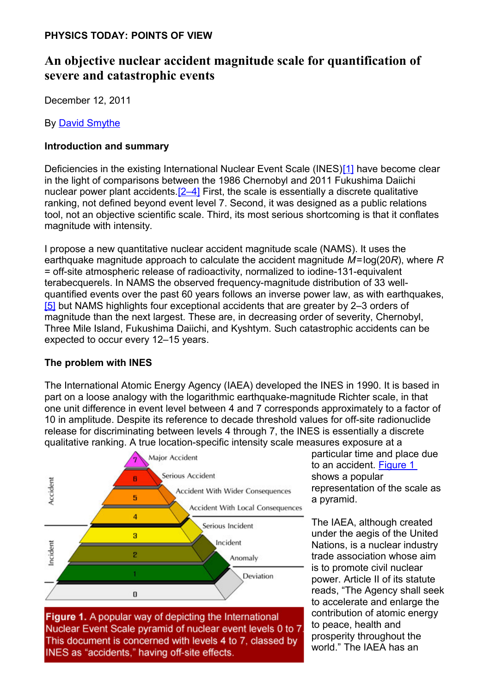#### **PHYSICS TODAY: POINTS OF VIEW**

# **An objective nuclear accident magnitude scale for quantification of severe and catastrophic events**

December 12, 2011

By [David Smythe](#page-7-0)

## **Introduction and summary**

Deficiencies in the existing International Nuclear Event Scale (INES)[\[1\]](#page-6-2) have become clear in the light of comparisons between the 1986 Chernobyl and 2011 Fukushima Daiichi nuclear power plant accidents[.\[2–4\]](#page-6-1) First, the scale is essentially a discrete qualitative ranking, not defined beyond event level 7. Second, it was designed as a public relations tool, not an objective scientific scale. Third, its most serious shortcoming is that it conflates magnitude with intensity.

I propose a new quantitative nuclear accident magnitude scale (NAMS). It uses the earthquake magnitude approach to calculate the accident magnitude *M*=log(20*R*), where *R* = off-site atmospheric release of radioactivity, normalized to iodine-131-equivalent terabecquerels. In NAMS the observed frequency-magnitude distribution of 33 wellquantified events over the past 60 years follows an inverse power law, as with earthquakes, [\[5\]](#page-6-0) but NAMS highlights four exceptional accidents that are greater by 2-3 orders of magnitude than the next largest. These are, in decreasing order of severity, Chernobyl, Three Mile Island, Fukushima Daiichi, and Kyshtym. Such catastrophic accidents can be expected to occur every 12–15 years.

### **The problem with INES**

The International Atomic Energy Agency (IAEA) developed the INES in 1990. It is based in part on a loose analogy with the logarithmic earthquake-magnitude Richter scale, in that one unit difference in event level between 4 and 7 corresponds approximately to a factor of 10 in amplitude. Despite its reference to decade threshold values for off-site radionuclide release for discriminating between levels 4 through 7, the INES is essentially a discrete qualitative ranking. A true location-specific intensity scale measures exposure at a



Nuclear Event Scale pyramid of nuclear event levels 0 to 7 This document is concerned with levels 4 to 7, classed by INES as "accidents," having off-site effects.

particular time and place due to an accident. [Figure 1](#page-0-0) shows a popular representation of the scale as a pyramid.

<span id="page-0-0"></span>The IAEA, although created under the aegis of the United Nations, is a nuclear industry trade association whose aim is to promote civil nuclear power. Article II of its statute reads, "The Agency shall seek to accelerate and enlarge the contribution of atomic energy to peace, health and prosperity throughout the world." The IAEA has an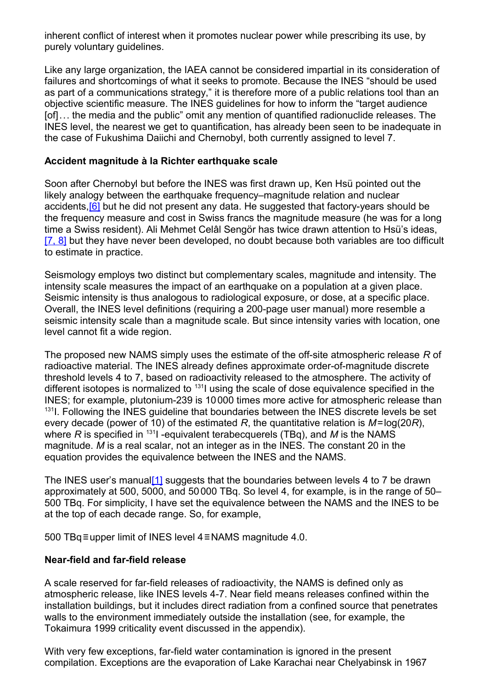inherent conflict of interest when it promotes nuclear power while prescribing its use, by purely voluntary guidelines.

Like any large organization, the IAEA cannot be considered impartial in its consideration of failures and shortcomings of what it seeks to promote. Because the INES "should be used as part of a communications strategy," it is therefore more of a public relations tool than an objective scientific measure. The INES guidelines for how to inform the "target audience [of]... the media and the public" omit any mention of quantified radionuclide releases. The INES level, the nearest we get to quantification, has already been seen to be inadequate in the case of Fukushima Daiichi and Chernobyl, both currently assigned to level 7.

#### **Accident magnitude à la Richter earthquake scale**

Soon after Chernobyl but before the INES was first drawn up, Ken Hsü pointed out the likely analogy between the earthquake frequency–magnitude relation and nuclear accidents[,\[6\]](#page-6-4) but he did not present any data. He suggested that factory-years should be the frequency measure and cost in Swiss francs the magnitude measure (he was for a long time a Swiss resident). Ali Mehmet Celâl Sengör has twice drawn attention to Hsü's ideas, [\[7, 8\]](#page-6-3) but they have never been developed, no doubt because both variables are too difficult to estimate in practice.

Seismology employs two distinct but complementary scales, magnitude and intensity. The intensity scale measures the impact of an earthquake on a population at a given place. Seismic intensity is thus analogous to radiological exposure, or dose, at a specific place. Overall, the INES level definitions (requiring a 200-page user manual) more resemble a seismic intensity scale than a magnitude scale. But since intensity varies with location, one level cannot fit a wide region.

The proposed new NAMS simply uses the estimate of the off-site atmospheric release *R* of radioactive material. The INES already defines approximate order-of-magnitude discrete threshold levels 4 to 7, based on radioactivity released to the atmosphere. The activity of different isotopes is normalized to  $131$  using the scale of dose equivalence specified in the INES; for example, plutonium-239 is 10000 times more active for atmospheric release than <sup>131</sup>I. Following the INES quideline that boundaries between the INES discrete levels be set every decade (power of 10) of the estimated *R*, the quantitative relation is *M*=log(20*R*), where *R* is specified in <sup>131</sup>I -equivalent terabecquerels (TBq), and *M* is the NAMS magnitude. *M* is a real scalar, not an integer as in the INES. The constant 20 in the equation provides the equivalence between the INES and the NAMS.

The INES user's manual<sup>[1]</sup> suggests that the boundaries between levels 4 to 7 be drawn approximately at 500, 5000, and 50000 TBq. So level 4, for example, is in the range of 50– 500 TBq. For simplicity, I have set the equivalence between the NAMS and the INES to be at the top of each decade range. So, for example,

500 TBq≡upper limit of INES level 4≡NAMS magnitude 4.0.

### **Near-field and far-field release**

A scale reserved for far-field releases of radioactivity, the NAMS is defined only as atmospheric release, like INES levels 4-7. Near field means releases confined within the installation buildings, but it includes direct radiation from a confined source that penetrates walls to the environment immediately outside the installation (see, for example, the Tokaimura 1999 criticality event discussed in the appendix).

With very few exceptions, far-field water contamination is ignored in the present compilation. Exceptions are the evaporation of Lake Karachai near Chelyabinsk in 1967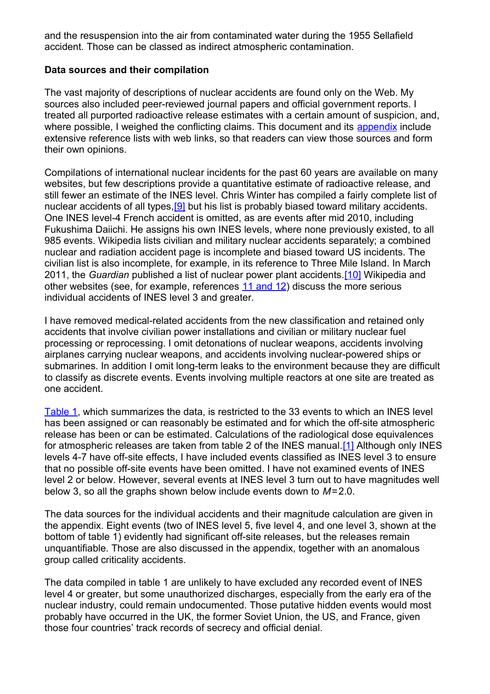and the resuspension into the air from contaminated water during the 1955 Sellafield accident. Those can be classed as indirect atmospheric contamination.

#### **Data sources and their compilation**

The vast majority of descriptions of nuclear accidents are found only on the Web. My sources also included peer-reviewed journal papers and official government reports. I treated all purported radioactive release estimates with a certain amount of suspicion, and, where possible, I weighed the conflicting claims. This document and its [appendix](#page-9-0) include extensive reference lists with web links, so that readers can view those sources and form their own opinions.

Compilations of international nuclear incidents for the past 60 years are available on many websites, but few descriptions provide a quantitative estimate of radioactive release, and still fewer an estimate of the INES level. Chris Winter has compiled a fairly complete list of nuclear accidents of all types,<sup>[9]</sup> but his list is probably biased toward military accidents. One INES level-4 French accident is omitted, as are events after mid 2010, including Fukushima Daiichi. He assigns his own INES levels, where none previously existed, to all 985 events. Wikipedia lists civilian and military nuclear accidents separately; a combined nuclear and radiation accident page is incomplete and biased toward US incidents. The civilian list is also incomplete, for example, in its reference to Three Mile Island. In March 2011, the *Guardian* published a list of nuclear power plant accidents.[\[10\]](#page-6-6) Wikipedia and other websites (see, for example, references [11 and 12\)](#page-6-5) discuss the more serious individual accidents of INES level 3 and greater.

I have removed medical-related accidents from the new classification and retained only accidents that involve civilian power installations and civilian or military nuclear fuel processing or reprocessing. I omit detonations of nuclear weapons, accidents involving airplanes carrying nuclear weapons, and accidents involving nuclear-powered ships or submarines. In addition I omit long-term leaks to the environment because they are difficult to classify as discrete events. Events involving multiple reactors at one site are treated as one accident.

[Table 1,](#page-7-1) which summarizes the data, is restricted to the 33 events to which an INES level has been assigned or can reasonably be estimated and for which the off-site atmospheric release has been or can be estimated. Calculations of the radiological dose equivalences for atmospheric releases are taken from table 2 of the INES manual.[\[1\]](#page-6-2) Although only INES levels 4-7 have off-site effects, I have included events classified as INES level 3 to ensure that no possible off-site events have been omitted. I have not examined events of INES level 2 or below. However, several events at INES level 3 turn out to have magnitudes well below 3, so all the graphs shown below include events down to *M*=2.0.

The data sources for the individual accidents and their magnitude calculation are given in the appendix. Eight events (two of INES level 5, five level 4, and one level 3, shown at the bottom of table 1) evidently had significant off-site releases, but the releases remain unquantifiable. Those are also discussed in the appendix, together with an anomalous group called criticality accidents.

The data compiled in table 1 are unlikely to have excluded any recorded event of INES level 4 or greater, but some unauthorized discharges, especially from the early era of the nuclear industry, could remain undocumented. Those putative hidden events would most probably have occurred in the UK, the former Soviet Union, the US, and France, given those four countries' track records of secrecy and official denial.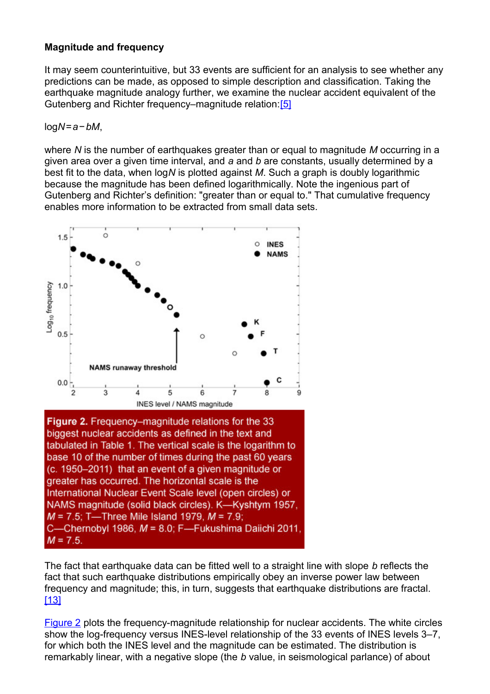#### **Magnitude and frequency**

It may seem counterintuitive, but 33 events are sufficient for an analysis to see whether any predictions can be made, as opposed to simple description and classification. Taking the earthquake magnitude analogy further, we examine the nuclear accident equivalent of the Gutenberg and Richter frequency–magnitude relation:[\[5\]](#page-6-0)

log*N*=*a*−*bM*,

where *N* is the number of earthquakes greater than or equal to magnitude *M* occurring in a given area over a given time interval, and *a* and *b* are constants, usually determined by a best fit to the data, when log*N* is plotted against *M*. Such a graph is doubly logarithmic because the magnitude has been defined logarithmically. Note the ingenious part of Gutenberg and Richter's definition: "greater than or equal to." That cumulative frequency enables more information to be extracted from small data sets.

<span id="page-3-0"></span>

biggest nuclear accidents as defined in the text and tabulated in Table 1. The vertical scale is the logarithm to base 10 of the number of times during the past 60 years (c. 1950–2011) that an event of a given magnitude or greater has occurred. The horizontal scale is the International Nuclear Event Scale level (open circles) or NAMS magnitude (solid black circles). K-Kyshtym 1957,  $M = 7.5$ ; T—Three Mile Island 1979,  $M = 7.9$ ; C-Chernobyl 1986, M = 8.0; F-Fukushima Daiichi 2011,  $M = 7.5$ .

The fact that earthquake data can be fitted well to a straight line with slope *b* reflects the fact that such earthquake distributions empirically obey an inverse power law between frequency and magnitude; this, in turn, suggests that earthquake distributions are fractal. [\[13\]](#page-6-8)

[Figure 2](#page-3-0) plots the frequency-magnitude relationship for nuclear accidents. The white circles show the log-frequency versus INES-level relationship of the 33 events of INES levels 3–7, for which both the INES level and the magnitude can be estimated. The distribution is remarkably linear, with a negative slope (the *b* value, in seismological parlance) of about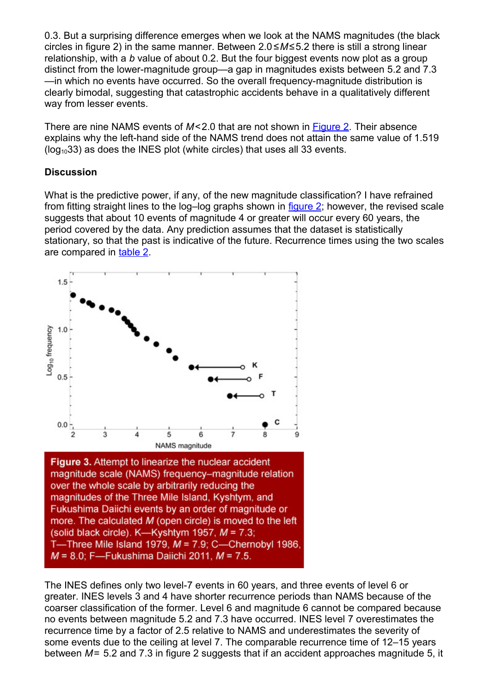0.3. But a surprising difference emerges when we look at the NAMS magnitudes (the black circles in figure 2) in the same manner. Between 2.0 ≤*M*≤5.2 there is still a strong linear relationship, with a *b* value of about 0.2. But the four biggest events now plot as a group distinct from the lower-magnitude group—a gap in magnitudes exists between 5.2 and 7.3 —in which no events have occurred. So the overall frequency-magnitude distribution is clearly bimodal, suggesting that catastrophic accidents behave in a qualitatively different way from lesser events.

There are nine NAMS events of *M*<2.0 that are not shown in [Figure 2.](#page-3-0) Their absence explains why the left-hand side of the NAMS trend does not attain the same value of 1.519  $($ log<sub>10</sub>33) as does the INES plot (white circles) that uses all 33 events.

### **Discussion**

What is the predictive power, if any, of the new magnitude classification? I have refrained from fitting straight lines to the log–log graphs shown in [figure 2;](#page-3-0) however, the revised scale suggests that about 10 events of magnitude 4 or greater will occur every 60 years, the period covered by the data. Any prediction assumes that the dataset is statistically stationary, so that the past is indicative of the future. Recurrence times using the two scales are compared in [table 2.](#page-9-0)

<span id="page-4-0"></span>

The INES defines only two level-7 events in 60 years, and three events of level 6 or greater. INES levels 3 and 4 have shorter recurrence periods than NAMS because of the coarser classification of the former. Level 6 and magnitude 6 cannot be compared because no events between magnitude 5.2 and 7.3 have occurred. INES level 7 overestimates the recurrence time by a factor of 2.5 relative to NAMS and underestimates the severity of some events due to the ceiling at level 7. The comparable recurrence time of 12–15 years between *M*= 5.2 and 7.3 in figure 2 suggests that if an accident approaches magnitude 5, it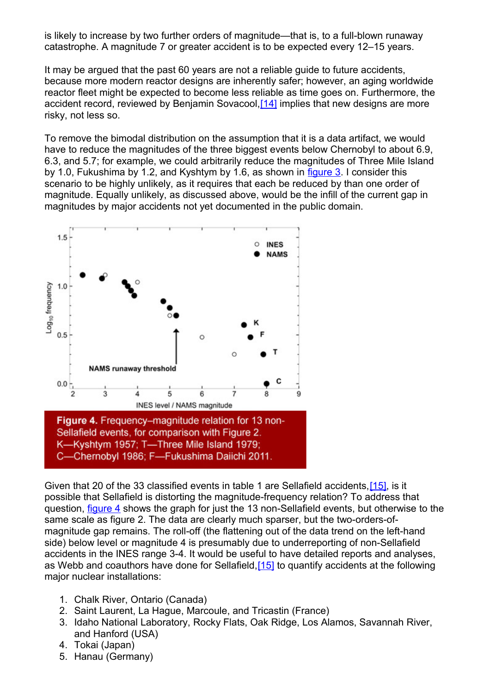is likely to increase by two further orders of magnitude—that is, to a full-blown runaway catastrophe. A magnitude 7 or greater accident is to be expected every 12–15 years.

It may be argued that the past 60 years are not a reliable guide to future accidents, because more modern reactor designs are inherently safer; however, an aging worldwide reactor fleet might be expected to become less reliable as time goes on. Furthermore, the accident record, reviewed by Benjamin Sovacool, [\[14\]](#page-7-2) implies that new designs are more risky, not less so.

To remove the bimodal distribution on the assumption that it is a data artifact, we would have to reduce the magnitudes of the three biggest events below Chernobyl to about 6.9. 6.3, and 5.7; for example, we could arbitrarily reduce the magnitudes of Three Mile Island by 1.0, Fukushima by 1.2, and Kyshtym by 1.6, as shown in [figure 3.](#page-4-0) I consider this scenario to be highly unlikely, as it requires that each be reduced by than one order of magnitude. Equally unlikely, as discussed above, would be the infill of the current gap in magnitudes by major accidents not yet documented in the public domain.

<span id="page-5-1"></span>

<span id="page-5-2"></span>Given that 20 of the 33 classified events in table 1 are Sellafield accidents[,\[15\],](#page-5-2) is it possible that Sellafield is distorting the magnitude-frequency relation? To address that question, [figure 4](#page-5-1) shows the graph for just the 13 non-Sellafield events, but otherwise to the same scale as figure 2. The data are clearly much sparser, but the two-orders-ofmagnitude gap remains. The roll-off (the flattening out of the data trend on the left-hand side) below level or magnitude 4 is presumably due to underreporting of non-Sellafield accidents in the INES range 3-4. It would be useful to have detailed reports and analyses, as Webb and coauthors have done for Sellafield, [15] to quantify accidents at the following major nuclear installations:

- <span id="page-5-0"></span>1. Chalk River, Ontario (Canada)
- 2. Saint Laurent, La Hague, Marcoule, and Tricastin (France)
- 3. Idaho National Laboratory, Rocky Flats, Oak Ridge, Los Alamos, Savannah River, and Hanford (USA)
- 4. Tokai (Japan)
- 5. Hanau (Germany)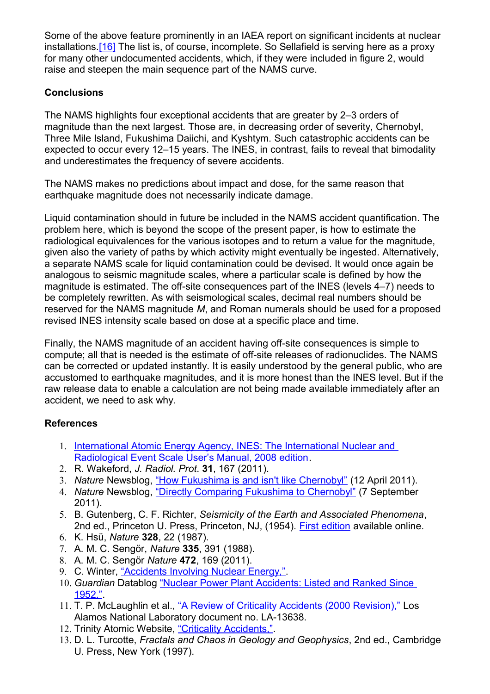Some of the above feature prominently in an IAEA report on significant incidents at nuclear installations[.\[16\]](#page-7-3) The list is, of course, incomplete. So Sellafield is serving here as a proxy for many other undocumented accidents, which, if they were included in figure 2, would raise and steepen the main sequence part of the NAMS curve.

### **Conclusions**

The NAMS highlights four exceptional accidents that are greater by 2–3 orders of magnitude than the next largest. Those are, in decreasing order of severity, Chernobyl, Three Mile Island, Fukushima Daiichi, and Kyshtym. Such catastrophic accidents can be expected to occur every 12–15 years. The INES, in contrast, fails to reveal that bimodality and underestimates the frequency of severe accidents.

The NAMS makes no predictions about impact and dose, for the same reason that earthquake magnitude does not necessarily indicate damage.

Liquid contamination should in future be included in the NAMS accident quantification. The problem here, which is beyond the scope of the present paper, is how to estimate the radiological equivalences for the various isotopes and to return a value for the magnitude, given also the variety of paths by which activity might eventually be ingested. Alternatively, a separate NAMS scale for liquid contamination could be devised. It would once again be analogous to seismic magnitude scales, where a particular scale is defined by how the magnitude is estimated. The off-site consequences part of the INES (levels 4–7) needs to be completely rewritten. As with seismological scales, decimal real numbers should be reserved for the NAMS magnitude *M*, and Roman numerals should be used for a proposed revised INES intensity scale based on dose at a specific place and time.

Finally, the NAMS magnitude of an accident having off-site consequences is simple to compute; all that is needed is the estimate of off-site releases of radionuclides. The NAMS can be corrected or updated instantly. It is easily understood by the general public, who are accustomed to earthquake magnitudes, and it is more honest than the INES level. But if the raw release data to enable a calculation are not being made available immediately after an accident, we need to ask why.

### **References**

- <span id="page-6-2"></span>1. [International Atomic Energy Agency, INES: The International Nuclear and](http://www-pub.iaea.org/MTCD/publications/PDF/INES-2009_web.pdf) [Radiological Event Scale User's Manual, 2008 edition.](http://www-pub.iaea.org/MTCD/publications/PDF/INES-2009_web.pdf)
- <span id="page-6-1"></span>2. R. Wakeford, *J. Radiol. Prot*. **31**, 167 (2011).
- 3. *Nature* Newsblog, ["How Fukushima is and isn't like Chernobyl"](http://blogs.nature.com/news/2011/04/how_fukushima_is_and_isnt_like_1.html) (12 April 2011).
- 4. *Nature* Newsblog, ["Directly Comparing Fukushima to Chernobyl"](http://blogs.nature.com/news/2011/09/directly_comparing_fukushima_t.html) (7 September 2011).
- <span id="page-6-0"></span>5. B. Gutenberg, C. F. Richter, *Seismicity of the Earth and Associated Phenomena*, 2nd ed., Princeton U. Press, Princeton, NJ, (1954). [First edition](http://ia600308.us.archive.org/5/items/seismicityofthee009299mbp/seismicityofthee009299mbp.pdf) available online.
- <span id="page-6-4"></span>6. K. Hsü, *Nature* **328**, 22 (1987).
- <span id="page-6-3"></span>7. A. M. C. Sengör, *Nature* **335**, 391 (1988).
- 8. A. M. C. Sengör *Nature* **472**, 169 (2011).
- <span id="page-6-7"></span>9. C. Winter, ["Accidents Involving Nuclear Energy,".](http://www.chris-winter.com/Digressions/Nuke-Goofs/Nuke-Goofs.html)
- <span id="page-6-6"></span>10. *Guardian* Datablog ["Nuclear Power Plant Accidents: Listed and Ranked Since](http://www.guardian.co.uk/news/datablog/2011/mar/14/nuclear-power-plant-accidents-list-rank) [1952,".](http://www.guardian.co.uk/news/datablog/2011/mar/14/nuclear-power-plant-accidents-list-rank)
- <span id="page-6-5"></span>11. T. P. McLaughlin et al., ["A Review of Criticality Accidents \(2000 Revision\),"](http://www.orau.org/ptp/Library/accidents/la-13638.pdf) Los Alamos National Laboratory document no. LA-13638.
- 12. Trinity Atomic Website, ["Criticality Accidents,".](http://www.cddc.vt.edu/host/atomic/accident/critical.html)
- <span id="page-6-8"></span>13. D. L. Turcotte, *Fractals and Chaos in Geology and Geophysics*, 2nd ed., Cambridge U. Press, New York (1997).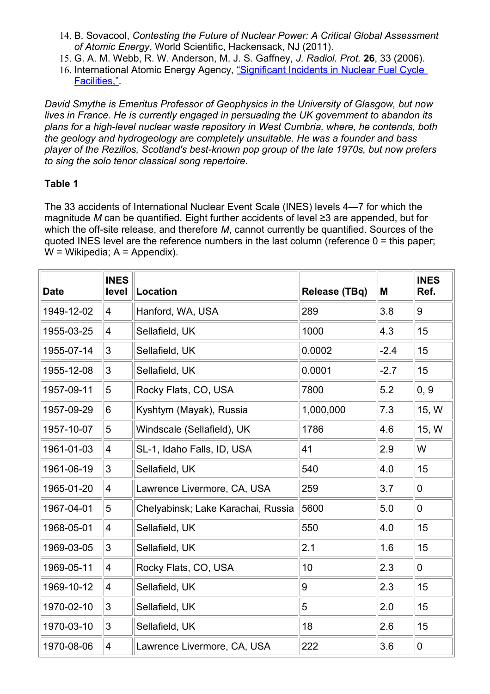- <span id="page-7-2"></span>14. B. Sovacool, *Contesting the Future of Nuclear Power: A Critical Global Assessment of Atomic Energy*, World Scientific, Hackensack, NJ (2011).
- 15. G. A. M. Webb, R. W. Anderson, M. J. S. Gaffney, *J. Radiol. Prot.* **26**, 33 (2006).
- <span id="page-7-3"></span>16. International Atomic Energy Agency, ["Significant Incidents in Nuclear Fuel Cycle](http://www.iaea.org/inis/collection/NCLCollectionStore/_Public/27/060/27060437.pdf) [Facilities,".](http://www.iaea.org/inis/collection/NCLCollectionStore/_Public/27/060/27060437.pdf)

<span id="page-7-0"></span>*David Smythe is Emeritus Professor of Geophysics in the University of Glasgow, but now lives in France. He is currently engaged in persuading the UK government to abandon its plans for a high-level nuclear waste repository in West Cumbria, where, he contends, both the geology and hydrogeology are completely unsuitable. He was a founder and bass player of the Rezillos, Scotland's best-known pop group of the late 1970s, but now prefers to sing the solo tenor classical song repertoire.*

## <span id="page-7-1"></span>**Table 1**

The 33 accidents of International Nuclear Event Scale (INES) levels 4—7 for which the magnitude *M* can be quantified. Eight further accidents of level ≥3 are appended, but for which the off-site release, and therefore *M*, cannot currently be quantified. Sources of the quoted INES level are the reference numbers in the last column (reference  $0 =$  this paper;  $W =$  Wikipedia;  $A =$  Appendix).

| <b>Date</b> | <b>INES</b><br>level      | Location                           | <b>Release (TBq)</b> | M      | <b>INES</b><br>Ref. |
|-------------|---------------------------|------------------------------------|----------------------|--------|---------------------|
| 1949-12-02  | 4                         | Hanford, WA, USA                   | 289                  | 3.8    | 9                   |
| 1955-03-25  | $\overline{4}$            | Sellafield, UK                     | 1000                 | 4.3    | 15                  |
| 1955-07-14  | 3                         | Sellafield, UK                     | 0.0002               | $-2.4$ | 15                  |
| 1955-12-08  | 3                         | Sellafield, UK                     | 0.0001               | $-2.7$ | 15                  |
| 1957-09-11  | 5                         | Rocky Flats, CO, USA               | 7800                 | 5.2    | 0, 9                |
| 1957-09-29  | 6                         | Kyshtym (Mayak), Russia            | 1,000,000            | 7.3    | 15, W               |
| 1957-10-07  | 5                         | Windscale (Sellafield), UK         | 1786                 | 4.6    | 15, W               |
| 1961-01-03  | $\overline{\mathcal{A}}$  | SL-1, Idaho Falls, ID, USA         | 41                   | 2.9    | W                   |
| 1961-06-19  | 3                         | Sellafield, UK                     | 540                  | 4.0    | 15                  |
| 1965-01-20  | 4                         | Lawrence Livermore, CA, USA        | 259                  | 3.7    | $\overline{0}$      |
| 1967-04-01  | 5                         | Chelyabinsk; Lake Karachai, Russia | 5600                 | 5.0    | $\mathbf 0$         |
| 1968-05-01  | $\overline{\mathbf{4}}$   | Sellafield, UK                     | 550                  | 4.0    | 15                  |
| 1969-03-05  | $\ensuremath{\mathsf{3}}$ | Sellafield, UK                     | 2.1                  | 1.6    | 15                  |
| 1969-05-11  | 4                         | Rocky Flats, CO, USA               | 10                   | 2.3    | 0                   |
| 1969-10-12  | $\overline{4}$            | Sellafield, UK                     | 9                    | 2.3    | 15                  |
| 1970-02-10  | 3                         | Sellafield, UK                     | 5                    | 2.0    | 15                  |
| 1970-03-10  | 3                         | Sellafield, UK                     | 18                   | 2.6    | 15                  |
| 1970-08-06  | 4                         | Lawrence Livermore, CA, USA        | 222                  | 3.6    | $\pmb{0}$           |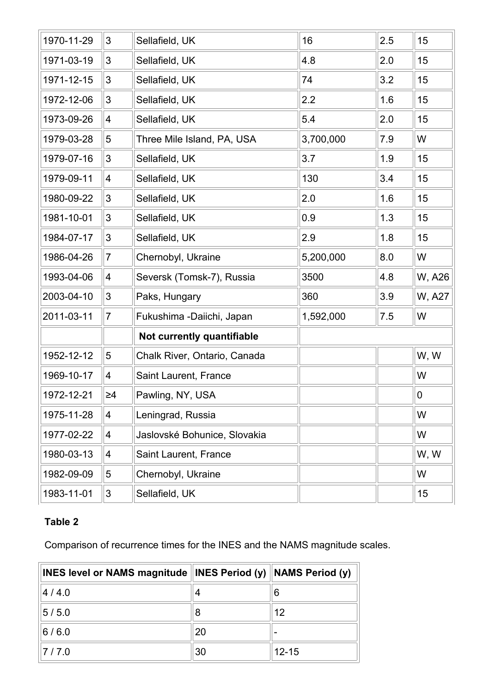| 1970-11-29<br>3<br>2.5<br>Sellafield, UK<br>16<br>$\mathfrak{S}$<br>1971-03-19<br>Sellafield, UK<br>4.8<br>2.0<br>3<br>3.2<br>1971-12-15<br>Sellafield, UK<br>74<br>$\sqrt{3}$<br>2.2<br>1.6<br>1972-12-06<br>Sellafield, UK<br>5.4<br>1973-09-26<br>Sellafield, UK<br>2.0<br>4<br>5<br>3,700,000<br>1979-03-28<br>Three Mile Island, PA, USA<br>7.9<br>$\mathfrak{B}$<br>3.7<br>1979-07-16<br>1.9<br>Sellafield, UK<br>1979-09-11<br>Sellafield, UK<br>130<br>3.4<br>$\overline{4}$<br>$\mathbf{3}$<br>1980-09-22<br>Sellafield, UK<br>2.0<br>1.6<br>1981-10-01<br>3<br>Sellafield, UK<br>0.9<br>1.3<br>$\mathfrak{B}$<br>1.8<br>1984-07-17<br>Sellafield, UK<br>2.9<br>8.0<br>1986-04-26<br>$\overline{7}$<br>Chernobyl, Ukraine<br>5,200,000<br>4.8<br>1993-04-06<br>3500<br>$\overline{4}$<br>Seversk (Tomsk-7), Russia<br>360<br>3.9<br>2003-04-10<br>3<br>Paks, Hungary<br>2011-03-11<br>$\vert$ 7<br>1,592,000<br>7.5<br>Fukushima -Daiichi, Japan<br>Not currently quantifiable<br>5<br>1952-12-12<br>Chalk River, Ontario, Canada<br>1969-10-17<br>4<br>Saint Laurent, France<br>1972-12-21<br>$\geq 4$<br>Pawling, NY, USA<br>$\overline{\mathbf{4}}$<br>1975-11-28<br>Leningrad, Russia<br>1977-02-22<br>$\overline{\mathcal{A}}$<br>Jaslovské Bohunice, Slovakia |            |                          |                       |  |             |
|------------------------------------------------------------------------------------------------------------------------------------------------------------------------------------------------------------------------------------------------------------------------------------------------------------------------------------------------------------------------------------------------------------------------------------------------------------------------------------------------------------------------------------------------------------------------------------------------------------------------------------------------------------------------------------------------------------------------------------------------------------------------------------------------------------------------------------------------------------------------------------------------------------------------------------------------------------------------------------------------------------------------------------------------------------------------------------------------------------------------------------------------------------------------------------------------------------------------------------------------------------------------------|------------|--------------------------|-----------------------|--|-------------|
|                                                                                                                                                                                                                                                                                                                                                                                                                                                                                                                                                                                                                                                                                                                                                                                                                                                                                                                                                                                                                                                                                                                                                                                                                                                                              |            |                          |                       |  | 15          |
|                                                                                                                                                                                                                                                                                                                                                                                                                                                                                                                                                                                                                                                                                                                                                                                                                                                                                                                                                                                                                                                                                                                                                                                                                                                                              |            |                          |                       |  | 15          |
|                                                                                                                                                                                                                                                                                                                                                                                                                                                                                                                                                                                                                                                                                                                                                                                                                                                                                                                                                                                                                                                                                                                                                                                                                                                                              |            |                          |                       |  | 15          |
|                                                                                                                                                                                                                                                                                                                                                                                                                                                                                                                                                                                                                                                                                                                                                                                                                                                                                                                                                                                                                                                                                                                                                                                                                                                                              |            |                          |                       |  | 15          |
|                                                                                                                                                                                                                                                                                                                                                                                                                                                                                                                                                                                                                                                                                                                                                                                                                                                                                                                                                                                                                                                                                                                                                                                                                                                                              |            |                          |                       |  | 15          |
|                                                                                                                                                                                                                                                                                                                                                                                                                                                                                                                                                                                                                                                                                                                                                                                                                                                                                                                                                                                                                                                                                                                                                                                                                                                                              |            |                          |                       |  | W           |
|                                                                                                                                                                                                                                                                                                                                                                                                                                                                                                                                                                                                                                                                                                                                                                                                                                                                                                                                                                                                                                                                                                                                                                                                                                                                              |            |                          |                       |  | 15          |
|                                                                                                                                                                                                                                                                                                                                                                                                                                                                                                                                                                                                                                                                                                                                                                                                                                                                                                                                                                                                                                                                                                                                                                                                                                                                              |            |                          |                       |  | 15          |
|                                                                                                                                                                                                                                                                                                                                                                                                                                                                                                                                                                                                                                                                                                                                                                                                                                                                                                                                                                                                                                                                                                                                                                                                                                                                              |            |                          |                       |  | 15          |
|                                                                                                                                                                                                                                                                                                                                                                                                                                                                                                                                                                                                                                                                                                                                                                                                                                                                                                                                                                                                                                                                                                                                                                                                                                                                              |            |                          |                       |  | 15          |
|                                                                                                                                                                                                                                                                                                                                                                                                                                                                                                                                                                                                                                                                                                                                                                                                                                                                                                                                                                                                                                                                                                                                                                                                                                                                              |            |                          |                       |  | 15          |
|                                                                                                                                                                                                                                                                                                                                                                                                                                                                                                                                                                                                                                                                                                                                                                                                                                                                                                                                                                                                                                                                                                                                                                                                                                                                              |            |                          |                       |  | W           |
|                                                                                                                                                                                                                                                                                                                                                                                                                                                                                                                                                                                                                                                                                                                                                                                                                                                                                                                                                                                                                                                                                                                                                                                                                                                                              |            |                          |                       |  | W, A26      |
|                                                                                                                                                                                                                                                                                                                                                                                                                                                                                                                                                                                                                                                                                                                                                                                                                                                                                                                                                                                                                                                                                                                                                                                                                                                                              |            |                          |                       |  | W, A27      |
|                                                                                                                                                                                                                                                                                                                                                                                                                                                                                                                                                                                                                                                                                                                                                                                                                                                                                                                                                                                                                                                                                                                                                                                                                                                                              |            |                          |                       |  | W           |
|                                                                                                                                                                                                                                                                                                                                                                                                                                                                                                                                                                                                                                                                                                                                                                                                                                                                                                                                                                                                                                                                                                                                                                                                                                                                              |            |                          |                       |  |             |
|                                                                                                                                                                                                                                                                                                                                                                                                                                                                                                                                                                                                                                                                                                                                                                                                                                                                                                                                                                                                                                                                                                                                                                                                                                                                              |            |                          |                       |  | W, W        |
|                                                                                                                                                                                                                                                                                                                                                                                                                                                                                                                                                                                                                                                                                                                                                                                                                                                                                                                                                                                                                                                                                                                                                                                                                                                                              |            |                          |                       |  | W           |
|                                                                                                                                                                                                                                                                                                                                                                                                                                                                                                                                                                                                                                                                                                                                                                                                                                                                                                                                                                                                                                                                                                                                                                                                                                                                              |            |                          |                       |  | $\mathbf 0$ |
|                                                                                                                                                                                                                                                                                                                                                                                                                                                                                                                                                                                                                                                                                                                                                                                                                                                                                                                                                                                                                                                                                                                                                                                                                                                                              |            |                          |                       |  | W           |
|                                                                                                                                                                                                                                                                                                                                                                                                                                                                                                                                                                                                                                                                                                                                                                                                                                                                                                                                                                                                                                                                                                                                                                                                                                                                              |            |                          |                       |  | W           |
|                                                                                                                                                                                                                                                                                                                                                                                                                                                                                                                                                                                                                                                                                                                                                                                                                                                                                                                                                                                                                                                                                                                                                                                                                                                                              | 1980-03-13 | $\overline{\mathcal{A}}$ | Saint Laurent, France |  | W, W        |
| 1982-09-09<br>5<br>Chernobyl, Ukraine                                                                                                                                                                                                                                                                                                                                                                                                                                                                                                                                                                                                                                                                                                                                                                                                                                                                                                                                                                                                                                                                                                                                                                                                                                        |            |                          |                       |  | W           |
|                                                                                                                                                                                                                                                                                                                                                                                                                                                                                                                                                                                                                                                                                                                                                                                                                                                                                                                                                                                                                                                                                                                                                                                                                                                                              | 1983-11-01 | $\mathfrak{S}$           | Sellafield, UK        |  | 15          |

# **Table 2**

Comparison of recurrence times for the INES and the NAMS magnitude scales.

| <b>INES level or NAMS magnitude lINES Period (y)</b> |    | NAMS Period (y) |
|------------------------------------------------------|----|-----------------|
| 4/4.0                                                |    | 6               |
| 5/5.0                                                | 8  | 12              |
| 6/6.0                                                | 20 |                 |
| 7/7.0                                                | 30 | $12 - 15$       |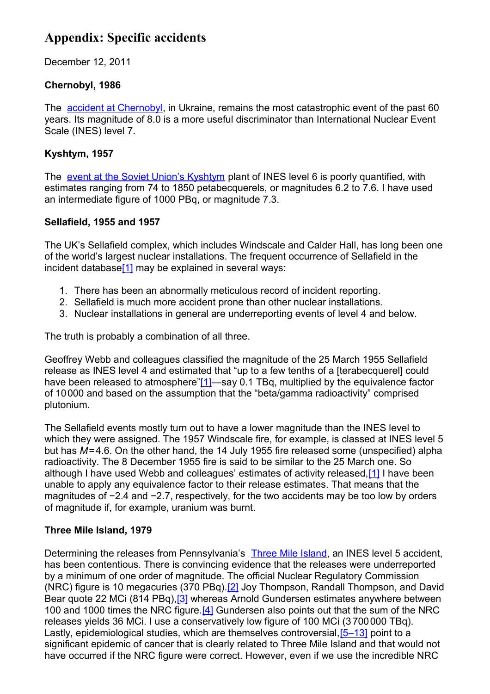# <span id="page-9-0"></span>**Appendix: Specific accidents**

December 12, 2011

## **Chernobyl, 1986**

The [accident at Chernobyl,](http://en.wikipedia.org/wiki/Chernobyl%20disaster) in Ukraine, remains the most catastrophic event of the past 60 years. Its magnitude of 8.0 is a more useful discriminator than International Nuclear Event Scale (INES) level 7.

## **Kyshtym, 1957**

The [event at the Soviet Union's Kyshtym](http://en.wikipedia.org/wiki/Kyshtym%20Disaster) plant of INES level 6 is poorly quantified, with estimates ranging from 74 to 1850 petabecquerels, or magnitudes 6.2 to 7.6. I have used an intermediate figure of 1000 PBq, or magnitude 7.3.

### **Sellafield, 1955 and 1957**

The UK's Sellafield complex, which includes Windscale and Calder Hall, has long been one of the world's largest nuclear installations. The frequent occurrence of Sellafield in the incident databas[e\[1\]](#page-12-4) may be explained in several ways:

- 1. There has been an abnormally meticulous record of incident reporting.
- 2. Sellafield is much more accident prone than other nuclear installations.
- 3. Nuclear installations in general are underreporting events of level 4 and below.

The truth is probably a combination of all three.

Geoffrey Webb and colleagues classified the magnitude of the 25 March 1955 Sellafield release as INES level 4 and estimated that "up to a few tenths of a [terabecquerel] could have been released to atmosphere["\[1\]—](#page-12-4)say 0.1 TBq, multiplied by the equivalence factor of 10000 and based on the assumption that the "beta/gamma radioactivity" comprised plutonium.

The Sellafield events mostly turn out to have a lower magnitude than the INES level to which they were assigned. The 1957 Windscale fire, for example, is classed at INES level 5 but has *M*=4.6. On the other hand, the 14 July 1955 fire released some (unspecified) alpha radioactivity. The 8 December 1955 fire is said to be similar to the 25 March one. So although I have used Webb and colleagues' estimates of activity released[,\[1\]](#page-12-4) I have been unable to apply any equivalence factor to their release estimates. That means that the magnitudes of −2.4 and −2.7, respectively, for the two accidents may be too low by orders of magnitude if, for example, uranium was burnt.

## **Three Mile Island, 1979**

Determining the releases from Pennsylvania's [Three Mile Island,](http://en.wikipedia.org/wiki/Three%20Mile%20Island%20accident) an INES level 5 accident, has been contentious. There is convincing evidence that the releases were underreported by a minimum of one order of magnitude. The official Nuclear Regulatory Commission (NRC) figure is 10 megacuries (370 PBq)[.\[2\]](#page-12-3) Joy Thompson, Randall Thompson, and David Bear quote 22 MCi (814 PBq)[,\[3\]](#page-12-2) whereas Arnold Gundersen estimates anywhere between 100 and 1000 times the NRC figure.<sup>[4]</sup> Gundersen also points out that the sum of the NRC releases yields 36 MCi. I use a conservatively low figure of 100 MCi (3 700000 TBq). Lastly, epidemiological studies, which are themselves controversial, [5-13] point to a significant epidemic of cancer that is clearly related to Three Mile Island and that would not have occurred if the NRC figure were correct. However, even if we use the incredible NRC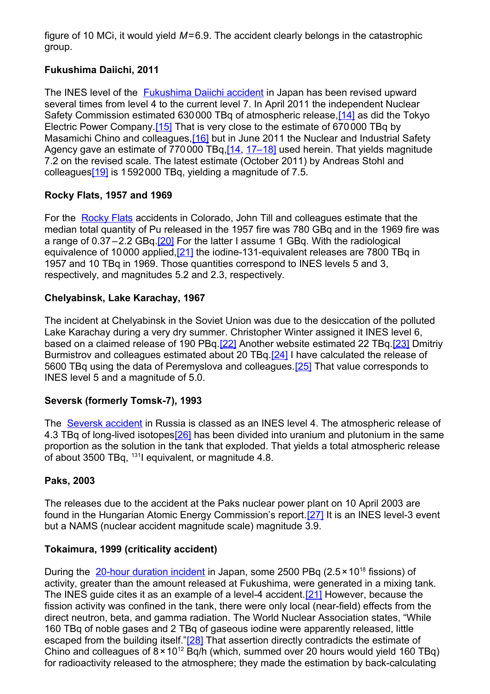figure of 10 MCi, it would yield *M*=6.9. The accident clearly belongs in the catastrophic group.

## **Fukushima Daiichi, 2011**

The INES level of the **Fukushima Daiichi accident** in Japan has been revised upward several times from level 4 to the current level 7. In April 2011 the independent Nuclear Safety Commission estimated 630000 TBq of atmospheric release[,\[14\]](#page-12-13) as did the Tokyo Electric Power Company[.\[15\]](#page-12-15) That is very close to the estimate of 670000 TBq by Masamichi Chino and colleagues, [16] but in June 2011 the Nuclear and Industrial Safety Agency gave an estimate of 770000 TBq, [14, [17–18\]](#page-12-12) used herein. That yields magnitude 7.2 on the revised scale. The latest estimate (October 2011) by Andreas Stohl and colleague[s\[19\]](#page-12-11) is 1592000 TBq, yielding a magnitude of 7.5.

## **Rocky Flats, 1957 and 1969**

For the [Rocky Flats](http://en.wikipedia.org/wiki/Rocky%20Flats%20Plant) accidents in Colorado, John Till and colleagues estimate that the median total quantity of Pu released in the 1957 fire was 780 GBq and in the 1969 fire was a range of 0.37–2.2 GBq[.\[20\]](#page-12-10) For the latter I assume 1 GBq. With the radiological equivalence of 10000 applied[,\[21\]](#page-12-5) the iodine-131-equivalent releases are 7800 TBq in 1957 and 10 TBq in 1969. Those quantities correspond to INES levels 5 and 3, respectively, and magnitudes 5.2 and 2.3, respectively.

## **Chelyabinsk, Lake Karachay, 1967**

<span id="page-10-0"></span>The incident at Chelyabinsk in the Soviet Union was due to the desiccation of the polluted Lake Karachay during a very dry summer. Christopher Winter assigned it INES level 6, based on a claimed release of 190 PBq[.\[22\]](#page-10-0) Another website estimated 22 TBq[.\[23\]](#page-12-9) Dmitriy Burmistrov and colleagues estimated about 20 TBq[.\[24\]](#page-12-8) I have calculated the release of 5600 TBq using the data of Peremyslova and colleagues.[\[25\]](#page-12-7) That value corresponds to INES level 5 and a magnitude of 5.0.

## **Seversk (formerly Tomsk-7), 1993**

The [Seversk accident](http://en.wikipedia.org/wiki/Seversk#Tomsk-7_explosion) in Russia is classed as an INES level 4. The atmospheric release of 4.3 TBq of long-lived isotope[s\[26\]](#page-12-6) has been divided into uranium and plutonium in the same proportion as the solution in the tank that exploded. That yields a total atmospheric release of about 3500 TBq, <sup>131</sup>I equivalent, or magnitude 4.8.

## **Paks, 2003**

The releases due to the accident at the Paks nuclear power plant on 10 April 2003 are found in the Hungarian Atomic Energy Commission's report[.\[27\]](#page-13-1) It is an INES level-3 event but a NAMS (nuclear accident magnitude scale) magnitude 3.9.

# **Tokaimura, 1999 (criticality accident)**

During the  $20$ -hour duration incident in Japan, some 2500 PBq (2.5  $\times$  10<sup>18</sup> fissions) of activity, greater than the amount released at Fukushima, were generated in a mixing tank. The INES guide cites it as an example of a level-4 accident[.\[21\]](#page-12-5) However, because the fission activity was confined in the tank, there were only local (near-field) effects from the direct neutron, beta, and gamma radiation. The World Nuclear Association states, "While 160 TBq of noble gases and 2 TBq of gaseous iodine were apparently released, little escaped from the building itself.["\[28\]](#page-13-0) That assertion directly contradicts the estimate of Chino and colleagues of  $8 \times 10^{12}$  Bq/h (which, summed over 20 hours would yield 160 TBq) for radioactivity released to the atmosphere; they made the estimation by back-calculating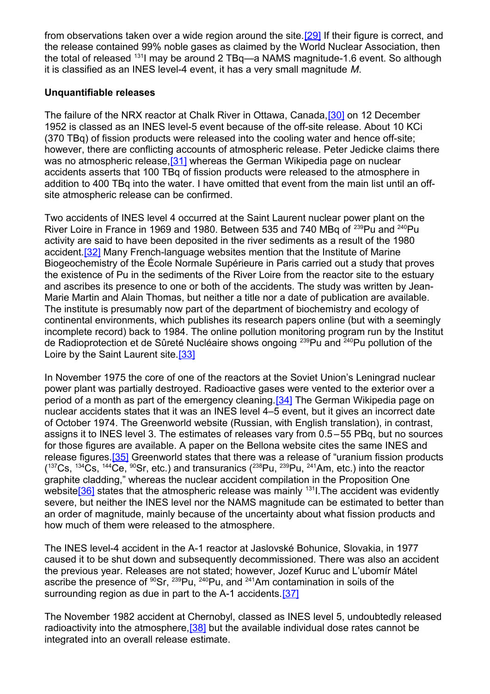<span id="page-11-1"></span>from observations taken over a wide region around the site[.\[29\]](#page-11-1) If their figure is correct, and the release contained 99% noble gases as claimed by the World Nuclear Association, then the total of released <sup>131</sup>I may be around 2 TBq—a NAMS magnitude-1.6 event. So although it is classified as an INES level-4 event, it has a very small magnitude *M*.

#### **Unquantifiable releases**

The failure of the NRX reactor at Chalk River in Ottawa, Canada,[\[30\]](#page-13-9) on 12 December 1952 is classed as an INES level-5 event because of the off-site release. About 10 KCi (370 TBq) of fission products were released into the cooling water and hence off-site; however, there are conflicting accounts of atmospheric release. Peter Jedicke claims there was no atmospheric release,<sup>[31]</sup> whereas the German Wikipedia page on nuclear accidents asserts that 100 TBq of fission products were released to the atmosphere in addition to 400 TBq into the water. I have omitted that event from the main list until an offsite atmospheric release can be confirmed.

Two accidents of INES level 4 occurred at the Saint Laurent nuclear power plant on the River Loire in France in 1969 and 1980. Between 535 and 740 MBq of <sup>239</sup>Pu and <sup>240</sup>Pu activity are said to have been deposited in the river sediments as a result of the 1980 accident.<sup>[32]</sup> Many French-language websites mention that the Institute of Marine Biogeochemistry of the École Normale Supérieure in Paris carried out a study that proves the existence of Pu in the sediments of the River Loire from the reactor site to the estuary and ascribes its presence to one or both of the accidents. The study was written by Jean-Marie Martin and Alain Thomas, but neither a title nor a date of publication are available. The institute is presumably now part of the department of biochemistry and ecology of continental environments, which publishes its research papers online (but with a seemingly incomplete record) back to 1984. The online pollution monitoring program run by the Institut de Radioprotection et de Sûreté Nucléaire shows ongoing <sup>239</sup>Pu and <sup>240</sup>Pu pollution of the Loire by the Saint Laurent site.<sup>[33]</sup>

<span id="page-11-0"></span>In November 1975 the core of one of the reactors at the Soviet Union's Leningrad nuclear power plant was partially destroyed. Radioactive gases were vented to the exterior over a period of a month as part of the emergency cleaning[.\[34\]](#page-13-6) The German Wikipedia page on nuclear accidents states that it was an INES level 4–5 event, but it gives an incorrect date of October 1974. The Greenworld website (Russian, with English translation), in contrast, assigns it to INES level 3. The estimates of releases vary from 0.5 –55 PBq, but no sources for those figures are available. A paper on the Bellona website cites the same INES and release figures[.\[35\]](#page-13-5) Greenworld states that there was a release of "uranium fission products ( $137Cs$ ,  $134Cs$ ,  $144Ce$ ,  $90Sr$ , etc.) and transuranics ( $238Pu$ ,  $239Pu$ ,  $241Am$ , etc.) into the reactor graphite cladding," whereas the nuclear accident compilation in the Proposition One website<sup>[36]</sup> states that the atmospheric release was mainly  $131$ . The accident was evidently severe, but neither the INES level nor the NAMS magnitude can be estimated to better than an order of magnitude, mainly because of the uncertainty about what fission products and how much of them were released to the atmosphere.

The INES level-4 accident in the A-1 reactor at Jaslovské Bohunice, Slovakia, in 1977 caused it to be shut down and subsequently decommissioned. There was also an accident the previous year. Releases are not stated; however, Jozef Kuruc and L'ubomír Mátel ascribe the presence of  $90$ Sr,  $239$ Pu,  $240$ Pu, and  $241$ Am contamination in soils of the surrounding region as due in part to the A-1 accidents.<sup>[37]</sup>

The November 1982 accident at Chernobyl, classed as INES level 5, undoubtedly released radioactivity into the atmosphere, [38] but the available individual dose rates cannot be integrated into an overall release estimate.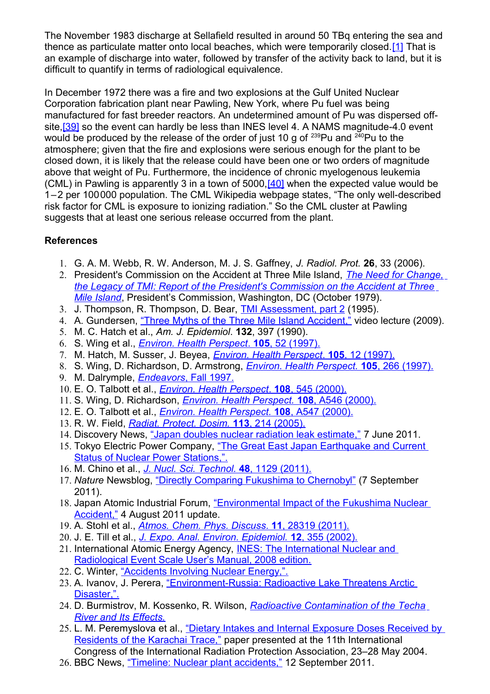The November 1983 discharge at Sellafield resulted in around 50 TBq entering the sea and thence as particulate matter onto local beaches, which were temporarily closed.[\[1\]](#page-12-4) That is an example of discharge into water, followed by transfer of the activity back to land, but it is difficult to quantify in terms of radiological equivalence.

In December 1972 there was a fire and two explosions at the Gulf United Nuclear Corporation fabrication plant near Pawling, New York, where Pu fuel was being manufactured for fast breeder reactors. An undetermined amount of Pu was dispersed offsite, [39] so the event can hardly be less than INES level 4. A NAMS magnitude-4.0 event would be produced by the release of the order of just 10 g of  $^{239}$ Pu and  $^{240}$ Pu to the atmosphere; given that the fire and explosions were serious enough for the plant to be closed down, it is likely that the release could have been one or two orders of magnitude above that weight of Pu. Furthermore, the incidence of chronic myelogenous leukemia (CML) in Pawling is apparently 3 in a town of  $5000$ ,  $[40]$  when the expected value would be 1–2 per 100000 population. The CML Wikipedia webpage states, "The only well-described risk factor for CML is exposure to ionizing radiation." So the CML cluster at Pawling suggests that at least one serious release occurred from the plant.

## **References**

- <span id="page-12-4"></span>1. G. A. M. Webb, R. W. Anderson, M. J. S. Gaffney, *J. Radiol. Prot.* **26**, 33 (2006).
- <span id="page-12-3"></span>2. President's Commission on the Accident at Three Mile Island, *[The Need for Change,](http://www.pddoc.com/tmi2/kemeny) [the Legacy of TMI: Report of the President's Commission on the Accident at Three](http://www.pddoc.com/tmi2/kemeny) [Mile Island](http://www.pddoc.com/tmi2/kemeny)*, President's Commission, Washington, DC (October 1979).
- <span id="page-12-2"></span>3. J. Thompson, R. Thompson, D. Bear, [TMI Assessment, part 2](http://www.southernstudies.org/images/sitepieces/ThompsonTMIassessment.pdf) (1995).
- <span id="page-12-1"></span>4. A. Gundersen, ["Three Myths of the Three Mile Island Accident,"](http://www.tmia.com/march26) video lecture (2009).
- <span id="page-12-0"></span>5. M. C. Hatch et al., *Am. J. Epidemiol*. **132**, 397 (1990).
- 6. S. Wing et al., *[Environ. Health Perspect](http://www.ncbi.nlm.nih.gov/pmc/articles/PMC1469835/pdf/envhper00314-0052.pdf)* . **105**, 52 (1997).
- 7. M. Hatch, M. Susser, J. Beyea, *[Environ. Health Perspect](http://www.ncbi.nlm.nih.gov/pmc/articles/PMC1469856/pdf/envhper00314-0012.pdf)* . **105**, 12 (1997).
- 8. S. Wing, D. Richardson, D. Armstrong, *[Environ. Health Perspect.](http://www.ncbi.nlm.nih.gov/pmc/articles/PMC1469992/pdf/envhper00316-0012d.pdf)* **105**, 266 (1997). 9. M. Dalrymple, *[Endeavors](http://endeavors.unc.edu/aut97/wing.html)* , Fall 1997.
- 10. E. O. Talbott et al., *[Environ. Health Perspect](http://www.ncbi.nlm.nih.gov/pmc/articles/PMC1638153/pdf/envhper00307-0111.pdf)* . **108**, 545 (2000).
- 11. S. Wing, D. Richardson, *[Environ. Health Perspect.](http://www.ncbi.nlm.nih.gov/pmc/articles/PMC1240214/pdf/ehp0108-a0542e.pdf)* **108**, A546 (2000).
- 12. E. O. Talbott et al., *[Environ. Health Perspect.](http://www.ncbi.nlm.nih.gov/pmc/articles/PMC1240214/pdf/ehp0108-a0542e.pdf)* **108**, A547 (2000).
- 13. R. W. Field, *[Radiat. Protect. Dosim.](http://www.radonattahoe.com/TMI%20RADON.pdf)* **113**, 214 (2005).
- <span id="page-12-13"></span>14. Discovery News, ["Japan doubles nuclear radiation leak estimate,"](http://news.discovery.com/earth/japan-nuclear-radiation-risk-110607.html) 7 June 2011.
- <span id="page-12-15"></span>15. Tokyo Electric Power Company, ["The Great East Japan Earthquake and Current](http://www.tepco.co.jp/en/nu/fukushima-np/f1/images/f12np-gaiyou_e_1.pdf) **[Status of Nuclear Power Stations,".](http://www.tepco.co.jp/en/nu/fukushima-np/f1/images/f12np-gaiyou_e_1.pdf)**
- <span id="page-12-14"></span>16. M. Chino et al., *[J. Nucl. Sci. Technol.](http://www.jstage.jst.go.jp/article/jnst/48/7/48_1129/_article)* **48**, 1129 (2011).
- <span id="page-12-12"></span>17. *Nature* Newsblog, ["Directly Comparing Fukushima to Chernobyl"](http://blogs.nature.com/news/2011/09/directly_comparing_fukushima_t.html) (7 September 2011).
- 18. Japan Atomic Industrial Forum, ["Environmental Impact of the Fukushima Nuclear](http://www.jaif.or.jp/english/news_images/pdf/ENGNEWS01_1312522822P.pdf) [Accident,"](http://www.jaif.or.jp/english/news_images/pdf/ENGNEWS01_1312522822P.pdf) 4 August 2011 update.
- <span id="page-12-11"></span>19. A. Stohl et al., *[Atmos. Chem. Phys. Discuss](http://www.atmos-chem-phys-discuss.net/11/28319/2011/acpd-11-28319-2011.html)* . **11**, 28319 (2011).
- <span id="page-12-10"></span>20. J. E. Till et al., *[J. Expo. Anal. Environ. Epidemiol.](http://www.nature.com/jes/journal/v12/n5/pdf/7500237a.pdf)* **12**, 355 (2002).
- <span id="page-12-5"></span>21. International Atomic Energy Agency, **INES: The International Nuclear and** [Radiological Event Scale User's Manual, 2008 edition.](http://www-pub.iaea.org/MTCD/publications/PDF/INES-2009_web.pdf)
- <span id="page-12-9"></span>22. C. Winter, ["Accidents Involving Nuclear Energy,".](http://www.chris-winter.com/Digressions/Nuke-Goofs/Nuke-Goofs.html)
- <span id="page-12-8"></span>23. A. Ivanov, J. Perera, ["Environment-Russia: Radioactive Lake Threatens Arctic](http://www.wentz.net/radiate/lake/index.htm) [Disaster,".](http://www.wentz.net/radiate/lake/index.htm)
- <span id="page-12-7"></span>24. D. Burmistrov, M. Kossenko, R. Wilson, *[Radioactive Contamination of the Techa](http://www.physics.harvard.edu/~wilson/publications/pp747/techa_cor.htm) [River and Its Effects.](http://www.physics.harvard.edu/~wilson/publications/pp747/techa_cor.htm)*
- 25. L. M. Peremyslova et al., ["Dietary Intakes and Internal Exposure Doses Received by](http://irpa11.irpa.net/pdfs/7c12.pdf) [Residents of the Karachai Trace,"](http://irpa11.irpa.net/pdfs/7c12.pdf) paper presented at the 11th International Congress of the International Radiation Protection Association, 23–28 May 2004.
- <span id="page-12-6"></span>26. BBC News, ["Timeline: Nuclear plant accidents,"](http://www.bbc.co.uk/news/world-13047267) 12 September 2011.